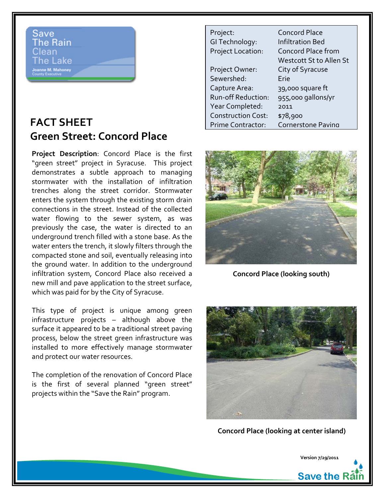## Save **The Rain** Clean 'he Lake

## **FACT SHEET Green Street: Concord Place**

**Project Description**: Concord Place is the first "green street" project in Syracuse. This project demonstrates a subtle approach to managing stormwater with the installation of infiltration trenches along the street corridor. Stormwater enters the system through the existing storm drain connections in the street. Instead of the collected water flowing to the sewer system, as was previously the case, the water is directed to an underground trench filled with a stone base. As the water enters the trench, it slowly filters through the compacted stone and soil, eventually releasing into the ground water. In addition to the underground infiltration system, Concord Place also received a new mill and pave application to the street surface, which was paid for by the City of Syracuse.

This type of project is unique among green infrastructure projects – although above the surface it appeared to be a traditional street paving process, below the street green infrastructure was installed to more effectively manage stormwater and protect our water resources.

The completion of the renovation of Concord Place is the first of several planned "green street" projects within the "Save the Rain" program.

| Project:                  | <b>Concord Place</b>    |
|---------------------------|-------------------------|
| GI Technology:            | <b>Infiltration Bed</b> |
| Project Location:         | Concord Place from      |
|                           | Westcott St to Allen St |
| Project Owner:            | City of Syracuse        |
| Sewershed:                | Erie                    |
| Capture Area:             | 39,000 square ft        |
| <b>Run-off Reduction:</b> | 955,000 gallons/yr      |
| Year Completed:           | 2011                    |
| <b>Construction Cost:</b> | \$78,900                |
| Prime Contractor          | Cornerstone Paving      |



**Concord Place (looking south)**



**Concord Place (looking at center island)**